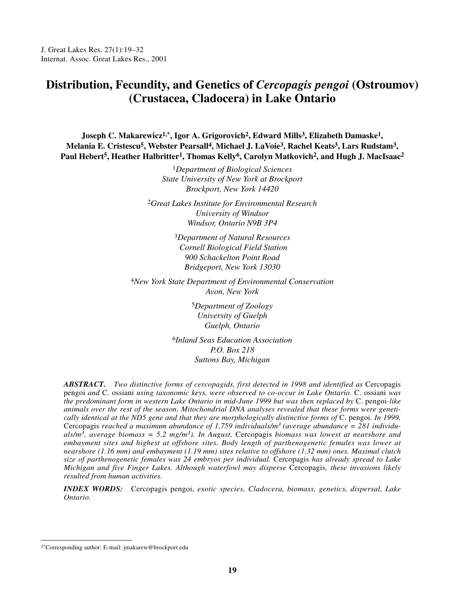J. Great Lakes Res. 27(1):19–32 Internat. Assoc. Great Lakes Res., 2001

# **Distribution, Fecundity, and Genetics of** *Cercopagis pengoi* **(Ostroumov) (Crustacea, Cladocera) in Lake Ontario**

**Joseph C. Makarewicz<sup>1,\*</sup>, Igor A. Grigorovich<sup>2</sup>, Edward Mills<sup>3</sup>, Elizabeth Damaske<sup>1</sup>, Melania E. Cristescu5, Webster Pearsall4, Michael J. LaVoie3, Rachel Keats3, Lars Rudstam3, Paul Hebert5, Heather Halbritter1, Thomas Kelly6, Carolyn Matkovich2, and Hugh J. MacIsaac2**

> 1*Department of Biological Sciences State University of New York at Brockport Brockport, New York 14420*

2*Great Lakes Institute for Environmental Research University of Windsor Windsor, Ontario N9B 3P4*

> 3*Department of Natural Resources Cornell Biological Field Station 900 Schackelton Point Road Bridgeport, New York 13030*

4*New York State Department of Environmental Conservation Avon, New York*

> 5*Department of Zoology University of Guelph Guelph, Ontario*

6*Inland Seas Education Association P.O. Box 218 Suttons Bay, Michigan*

*ABSTRACT. Two distinctive forms of cercopagids, first detected in 1998 and identified as* Cercopagis pengoi *and* C. ossiani *using taxonomic keys, were observed to co-occur in Lake Ontario.* C. ossiani *was the predominant form in western Lake Ontario in mid-June 1999 but was then replaced by* C. pengoi*-like animals over the rest of the season. Mitochondrial DNA analyses revealed that these forms were genetically identical at the ND5 gene and that they are morphologically distinctive forms of* C. pengoi*. In 1999,* Cercopagis *reached a maximum abundance of 1,759 individuals/m3 (average abundance = 281 individuals/m3, average biomass = 5.2 mg/m3). In August,* Cercopagis *biomass was lowest at nearshore and embayment sites and highest at offshore sites. Body length of parthenogenetic females was lower at nearshore (1.16 mm) and embayment (1.19 mm) sites relative to offshore (1.32 mm) ones. Maximal clutch size of parthenogenetic females was 24 embryos per individual.* Cercopagis *has already spread to Lake Michigan and five Finger Lakes. Although waterfowl may disperse* Cercopagis*, these invasions likely resulted from human activities.*

*INDEX WORDS:* Cercopagis pengoi, *exotic species, Cladocera, biomass, genetics, dispersal, Lake Ontario.*

<sup>1\*</sup>Corresponding author: E-mail: jmakarew@brockport.edu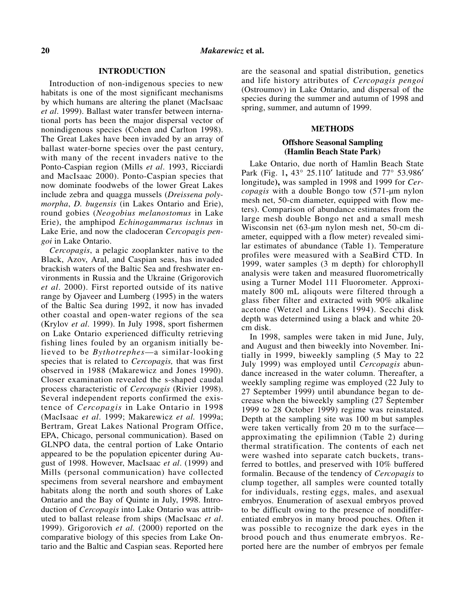# **INTRODUCTION**

Introduction of non-indigenous species to new habitats is one of the most significant mechanisms by which humans are altering the planet (MacIsaac *et al*. 1999). Ballast water transfer between international ports has been the major dispersal vector of nonindigenous species (Cohen and Carlton 1998). The Great Lakes have been invaded by an array of ballast water-borne species over the past century, with many of the recent invaders native to the Ponto-Caspian region (Mills *et al*. 1993, Ricciardi and MacIsaac 2000). Ponto-Caspian species that now dominate foodwebs of the lower Great Lakes include zebra and quagga mussels (*Dreissena polymorpha*, *D. bugensis* (in Lakes Ontario and Erie), round gobies (*Neogobius melanostomus* in Lake Erie), the amphipod *Echinogammarus ischnus* in Lake Erie, and now the cladoceran *Cercopagis pengoi* in Lake Ontario.

*Cercopagis*, a pelagic zooplankter native to the Black, Azov, Aral, and Caspian seas, has invaded brackish waters of the Baltic Sea and freshwater environments in Russia and the Ukraine (Grigorovich *et al*. 2000). First reported outside of its native range by Ojaveer and Lumberg (1995) in the waters of the Baltic Sea during 1992, it now has invaded other coastal and open-water regions of the sea (Krylov *et al*. 1999). In July 1998, sport fishermen on Lake Ontario experienced difficulty retrieving fishing lines fouled by an organism initially believed to be *Bythotrephes*—a similar-looking species that is related to *Cercopagis,* that was first observed in 1988 (Makarewicz and Jones 1990). Closer examination revealed the s-shaped caudal process characteristic of *Cercopagis* (Rivier 1998). Several independent reports confirmed the existence of *Cercopagis* in Lake Ontario in 1998 (MacIsaac *et al*. 1999; Makarewicz *et al.* 1999a; Bertram, Great Lakes National Program Office, EPA, Chicago, personal communication). Based on GLNPO data, the central portion of Lake Ontario appeared to be the population epicenter during August of 1998. However, MacIsaac *et al*. (1999) and Mills (personal communication) have collected specimens from several nearshore and embayment habitats along the north and south shores of Lake Ontario and the Bay of Quinte in July, 1998. Introduction of *Cercopagis* into Lake Ontario was attributed to ballast release from ships (MacIsaac *et al*. 1999). Grigorovich *et al.* (2000) reported on the comparative biology of this species from Lake Ontario and the Baltic and Caspian seas. Reported here

are the seasonal and spatial distribution, genetics and life history attributes of *Cercopagis pengoi* (Ostroumov) in Lake Ontario, and dispersal of the species during the summer and autumn of 1998 and spring, summer, and autumn of 1999.

# **METHODS**

# **Offshore Seasonal Sampling (Hamlin Beach State Park)**

Lake Ontario, due north of Hamlin Beach State Park (Fig. 1**,** 43° 25.110′ latitude and 77° 53.986′ longitude**),** was sampled in 1998 and 1999 for *Cercopagis* with a double Bongo tow (571-µm nylon mesh net, 50-cm diameter, equipped with flow meters). Comparison of abundance estimates from the large mesh double Bongo net and a small mesh Wisconsin net (63-µm nylon mesh net, 50-cm diameter, equipped with a flow meter) revealed similar estimates of abundance (Table 1). Temperature profiles were measured with a SeaBird CTD. In 1999, water samples (3 m depth) for chlorophyll analysis were taken and measured fluorometrically using a Turner Model 111 Fluorometer. Approximately 800 mL aliqouts were filtered through a glass fiber filter and extracted with 90% alkaline acetone (Wetzel and Likens 1994). Secchi disk depth was determined using a black and white 20 cm disk.

In 1998, samples were taken in mid June, July, and August and then biweekly into November. Initially in 1999, biweekly sampling (5 May to 22 July 1999) was employed until *Cercopagis* abundance increased in the water column. Thereafter, a weekly sampling regime was employed (22 July to 27 September 1999) until abundance began to decrease when the biweekly sampling (27 September 1999 to 28 October 1999) regime was reinstated. Depth at the sampling site was 100 m but samples were taken vertically from 20 m to the surface approximating the epilimnion (Table 2) during thermal stratification. The contents of each net were washed into separate catch buckets, transferred to bottles, and preserved with 10% buffered formalin. Because of the tendency of *Cercopagis* to clump together, all samples were counted totally for individuals, resting eggs, males, and asexual embryos. Enumeration of asexual embryos proved to be difficult owing to the presence of nondifferentiated embryos in many brood pouches. Often it was possible to recognize the dark eyes in the brood pouch and thus enumerate embryos. Reported here are the number of embryos per female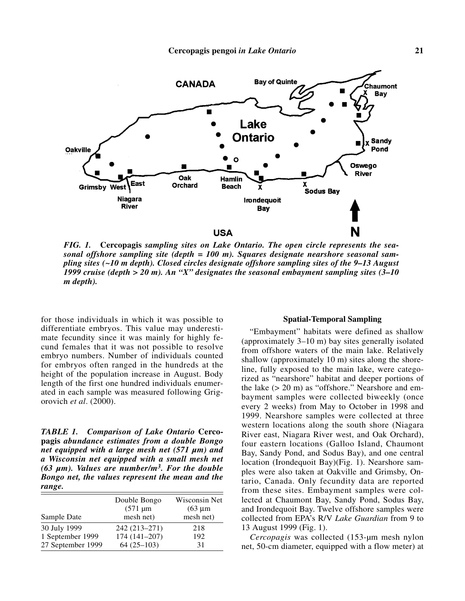

*FIG. 1.* **Cercopagis** *sampling sites on Lake Ontario. The open circle represents the seasonal offshore sampling site (depth = 100 m). Squares designate nearshore seasonal sampling sites (~10 m depth). Closed circles designate offshore sampling sites of the 9–13 August 1999 cruise (depth > 20 m). An "X" designates the seasonal embayment sampling sites (3–10 m depth).* 

for those individuals in which it was possible to differentiate embryos. This value may underestimate fecundity since it was mainly for highly fecund females that it was not possible to resolve embryo numbers. Number of individuals counted for embryos often ranged in the hundreds at the height of the population increase in August. Body length of the first one hundred individuals enumerated in each sample was measured following Grigorovich *et al*. (2000).

*TABLE 1. Comparison of Lake Ontario* **Cercopagis** *abundance estimates from a double Bongo net equipped with a large mesh net (571 µm) and a Wisconsin net equipped with a small mesh net (63 µm). Values are number/m3. For the double Bongo net, the values represent the mean and the range.*

|                   | Double Bongo<br>$(571 \mu m)$ | Wisconsin Net<br>$(63 \mu m)$ |  |  |
|-------------------|-------------------------------|-------------------------------|--|--|
| Sample Date       | mesh net)                     | mesh net)                     |  |  |
| 30 July 1999      | 242 (213-271)                 | 218                           |  |  |
| 1 September 1999  | $174(141-207)$                | 192                           |  |  |
| 27 September 1999 | $64(25-103)$                  | 31                            |  |  |

#### **Spatial-Temporal Sampling**

"Embayment" habitats were defined as shallow (approximately 3–10 m) bay sites generally isolated from offshore waters of the main lake. Relatively shallow (approximately 10 m) sites along the shoreline, fully exposed to the main lake, were categorized as "nearshore" habitat and deeper portions of the lake (> 20 m) as "offshore." Nearshore and embayment samples were collected biweekly (once every 2 weeks) from May to October in 1998 and 1999. Nearshore samples were collected at three western locations along the south shore (Niagara River east, Niagara River west, and Oak Orchard), four eastern locations (Galloo Island, Chaumont Bay, Sandy Pond, and Sodus Bay), and one central location (Irondequoit Bay)(Fig. 1). Nearshore samples were also taken at Oakville and Grimsby, Ontario, Canada. Only fecundity data are reported from these sites. Embayment samples were collected at Chaumont Bay, Sandy Pond, Sodus Bay, and Irondequoit Bay. Twelve offshore samples were collected from EPA's R/V *Lake Guardian* from 9 to 13 August 1999 (Fig. 1).

*Cercopagis* was collected (153-µm mesh nylon net, 50-cm diameter, equipped with a flow meter) at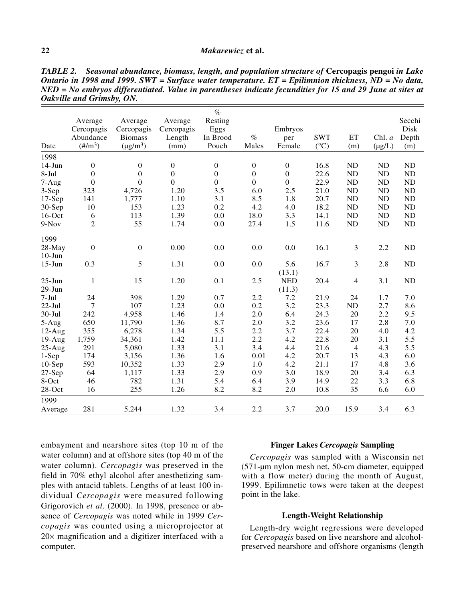#### **22** *Makarewicz* **et al.**

|            |                                 |                  |                  | $\%$             |                  |                  |                 |                |             |           |
|------------|---------------------------------|------------------|------------------|------------------|------------------|------------------|-----------------|----------------|-------------|-----------|
|            | Average                         | Average          | Average          | Resting          |                  |                  |                 |                |             | Secchi    |
|            | Cercopagis                      | Cercopagis       | Cercopagis       | Eggs             |                  | Embryos          |                 |                |             | Disk      |
|            | Abundance                       | <b>Biomass</b>   | Length           | In Brood         | $\%$             | per              | <b>SWT</b>      | ET             | Chl. $a$    | Depth     |
| Date       | $(\frac{\text{H}}{\text{m}^3})$ | $(\mu g/m^3)$    | (mm)             | Pouch            | Males            | Female           | $({}^{\circ}C)$ | (m)            | $(\mu g/L)$ | (m)       |
| 1998       |                                 |                  |                  |                  |                  |                  |                 |                |             |           |
| $14-Jun$   | $\boldsymbol{0}$                | $\overline{0}$   | $\boldsymbol{0}$ | $\boldsymbol{0}$ | $\boldsymbol{0}$ | $\boldsymbol{0}$ | 16.8            | <b>ND</b>      | <b>ND</b>   | <b>ND</b> |
| $8-Jul$    | $\boldsymbol{0}$                | $\boldsymbol{0}$ | $\boldsymbol{0}$ | $\boldsymbol{0}$ | $\boldsymbol{0}$ | $\boldsymbol{0}$ | 22.6            | <b>ND</b>      | <b>ND</b>   | <b>ND</b> |
| $7-Aug$    | $\boldsymbol{0}$                | $\overline{0}$   | $\overline{0}$   | $\boldsymbol{0}$ | $\boldsymbol{0}$ | $\boldsymbol{0}$ | 22.9            | <b>ND</b>      | ND          | <b>ND</b> |
| 3-Sep      | 323                             | 4,726            | 1.20             | 3.5              | 6.0              | 2.5              | 21.0            | <b>ND</b>      | <b>ND</b>   | ND        |
| $17-Sep$   | 141                             | 1,777            | 1.10             | 3.1              | 8.5              | 1.8              | 20.7            | <b>ND</b>      | ND          | ND        |
| 30-Sep     | 10                              | 153              | 1.23             | 0.2              | 4.2              | 4.0              | 18.2            | <b>ND</b>      | ND          | ND        |
| $16$ -Oct  | 6                               | 113              | 1.39             | 0.0              | 18.0             | 3.3              | 14.1            | ND             | ND          | ND        |
| $9-Nov$    | $\overline{2}$                  | 55               | 1.74             | 0.0              | 27.4             | 1.5              | 11.6            | ND             | ND          | ND        |
| 1999       |                                 |                  |                  |                  |                  |                  |                 |                |             |           |
| 28-May     | $\boldsymbol{0}$                | $\boldsymbol{0}$ | 0.00             | 0.0              | 0.0              | 0.0              | 16.1            | 3              | 2.2         | <b>ND</b> |
| $10-J$ un  |                                 |                  |                  |                  |                  |                  |                 |                |             |           |
| $15$ -Jun  | 0.3                             | 5                | 1.31             | 0.0              | 0.0              | 5.6              | 16.7            | 3              | 2.8         | <b>ND</b> |
|            |                                 |                  |                  |                  |                  | (13.1)           |                 |                |             |           |
| $25 - Jun$ | $\mathbf{1}$                    | 15               | 1.20             | 0.1              | 2.5              | <b>NED</b>       | 20.4            | $\overline{4}$ | 3.1         | <b>ND</b> |
| $29-Jun$   |                                 |                  |                  |                  |                  | (11.3)           |                 |                |             |           |
| $7-Jul$    | 24                              | 398              | 1.29             | 0.7              | 2.2              | 7.2              | 21.9            | 24             | 1.7         | 7.0       |
| $22-Jul$   | $\overline{7}$                  | 107              | 1.23             | 0.0              | 0.2              | 3.2              | 23.3            | <b>ND</b>      | 2.7         | 8.6       |
| $30-Jul$   | 242                             | 4,958            | 1.46             | 1.4              | 2.0              | 6.4              | 24.3            | 20             | 2.2         | 9.5       |
| $5-Aug$    | 650                             | 11,790           | 1.36             | 8.7              | 2.0              | 3.2              | 23.6            | 17             | 2.8         | 7.0       |
| $12-Aug$   | 355                             | 6,278            | 1.34             | 5.5              | 2.2              | 3.7              | 22.4            | 20             | 4.0         | 4.2       |
| $19-Aug$   | 1,759                           | 34,361           | 1.42             | 11.1             | 2.2              | 4.2              | 22.8            | 20             | 3.1         | 5.5       |
| $25-Aug$   | 291                             | 5,080            | 1.33             | 3.1              | 3.4              | 4.4              | 21.6            | 4              | 4.3         | 5.5       |
| $1-Sep$    | 174                             | 3,156            | 1.36             | 1.6              | 0.01             | 4.2              | 20.7            | 13             | 4.3         | 6.0       |
| $10-$ Sep  | 593                             | 10,352           | 1.33             | 2.9              | 1.0              | 4.2              | 21.1            | 17             | 4.8         | 3.6       |
| 27-Sep     | 64                              | 1,117            | 1.33             | 2.9              | 0.9              | 3.0              | 18.9            | 20             | 3.4         | 6.3       |
| 8-Oct      | 46                              | 782              | 1.31             | 5.4              | 6.4              | 3.9              | 14.9            | 22             | 3.3         | 6.8       |
| 28-Oct     | 16                              | 255              | 1.26             | 8.2              | 8.2              | 2.0              | 10.8            | 35             | 6.6         | 6.0       |
| 1999       |                                 |                  |                  |                  |                  |                  |                 |                |             |           |
| Average    | 281                             | 5,244            | 1.32             | 3.4              | 2.2              | 3.7              | 20.0            | 15.9           | 3.4         | 6.3       |

*TABLE 2. Seasonal abundance, biomass, length, and population structure of* **Cercopagis pengoi** *in Lake Ontario in 1998 and 1999. SWT = Surface water temperature. ET = Epilimnion thickness, ND = No data, NED = No embryos differentiated. Value in parentheses indicate fecundities for 15 and 29 June at sites at Oakville and Grimsby, ON.* 

embayment and nearshore sites (top 10 m of the water column) and at offshore sites (top 40 m of the water column). *Cercopagis* was preserved in the field in 70% ethyl alcohol after anesthetizing samples with antacid tablets. Lengths of at least 100 individual *Cercopagis* were measured following Grigorovich *et al*. (2000). In 1998, presence or absence of *Cercopagis* was noted while in 1999 *Cercopagis* was counted using a microprojector at 20× magnification and a digitizer interfaced with a computer.

#### **Finger Lakes** *Cercopagis* **Sampling**

*Cercopagis* was sampled with a Wisconsin net (571-µm nylon mesh net, 50-cm diameter, equipped with a flow meter) during the month of August, 1999. Epilimnetic tows were taken at the deepest point in the lake.

#### **Length-Weight Relationship**

Length-dry weight regressions were developed for *Cercopagis* based on live nearshore and alcoholpreserved nearshore and offshore organisms (length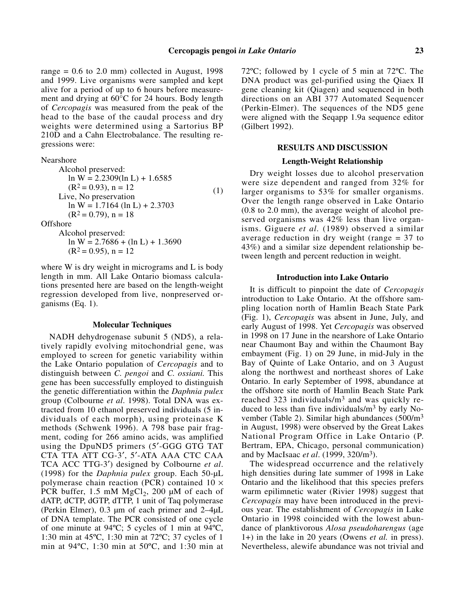range  $= 0.6$  to 2.0 mm) collected in August, 1998 and 1999. Live organisms were sampled and kept alive for a period of up to 6 hours before measurement and drying at 60°C for 24 hours. Body length of *Cercopagis* was measured from the peak of the head to the base of the caudal process and dry weights were determined using a Sartorius BP 210D and a Cahn Electrobalance. The resulting regressions were:

Nearshore

| Alcohol preserved:                    |     |
|---------------------------------------|-----|
| $\ln W = 2.2309(\ln L) + 1.6585$      |     |
| $(R2 = 0.93), n = 12$                 | (1) |
| Live, No preservation                 |     |
| $\ln W = 1.7164$ ( $\ln L$ ) + 2.3703 |     |
| $(R2 = 0.79)$ , n = 18                |     |
| Offshore                              |     |
| Alcohol preserved:                    |     |
| $\ln W = 2.7686 + (\ln L) + 1.3690$   |     |
| $(R2 = 0.95)$ , n = 12                |     |
|                                       |     |

where W is dry weight in micrograms and L is body length in mm. All Lake Ontario biomass calculations presented here are based on the length-weight regression developed from live, nonpreserved organisms (Eq. 1).

#### **Molecular Techniques**

NADH dehydrogenase subunit 5 (ND5), a relatively rapidly evolving mitochondrial gene, was employed to screen for genetic variability within the Lake Ontario population of *Cercopagis* and to distinguish between *C. pengoi* and *C. ossiani.* This gene has been successfully employed to distinguish the genetic differentiation within the *Daphnia pulex* group (Colbourne *et al*. 1998). Total DNA was extracted from 10 ethanol preserved individuals (5 individuals of each morph), using proteinase K methods (Schwenk 1996). A 798 base pair fragment, coding for 266 amino acids, was amplified using the DpuND5 primers (5′-GGG GTG TAT CTA TTA ATT CG-3′, 5′-ATA AAA CTC CAA TCA ACC TTG-3′) designed by Colbourne *et al*. (1998) for the *Daphnia pulex* group. Each 50-µL polymerase chain reaction (PCR) contained  $10 \times$ PCR buffer, 1.5 mM  $MgCl<sub>2</sub>$ , 200 µM of each of dATP, dCTP, dGTP, dTTP, 1 unit of Taq polymerase (Perkin Elmer), 0.3 µm of each primer and 2–4µL of DNA template. The PCR consisted of one cycle of one minute at 94ºC; 5 cycles of 1 min at 94ºC, 1:30 min at 45ºC, 1:30 min at 72ºC; 37 cycles of 1 min at 94ºC, 1:30 min at 50ºC, and 1:30 min at 72ºC; followed by 1 cycle of 5 min at 72ºC. The DNA product was gel-purified using the Qiaex II gene cleaning kit (Qiagen) and sequenced in both directions on an ABI 377 Automated Sequencer (Perkin-Elmer). The sequences of the ND5 gene were aligned with the Seqapp 1.9a sequence editor (Gilbert 1992).

#### **RESULTS AND DISCUSSION**

#### **Length-Weight Relationship**

Dry weight losses due to alcohol preservation were size dependent and ranged from 32% for larger organisms to 53% for smaller organisms. Over the length range observed in Lake Ontario (0.8 to 2.0 mm), the average weight of alcohol preserved organisms was 42% less than live organisms. Giguere *et al.* (1989) observed a similar average reduction in dry weight (range = 37 to 43%) and a similar size dependent relationship between length and percent reduction in weight.

#### **Introduction into Lake Ontario**

It is difficult to pinpoint the date of *Cercopagis* introduction to Lake Ontario. At the offshore sampling location north of Hamlin Beach State Park (Fig. 1), *Cercopagis* was absent in June, July, and early August of 1998. Yet *Cercopagis* was observed in 1998 on 17 June in the nearshore of Lake Ontario near Chaumont Bay and within the Chaumont Bay embayment (Fig. 1) on 29 June, in mid-July in the Bay of Quinte of Lake Ontario, and on 3 August along the northwest and northeast shores of Lake Ontario. In early September of 1998, abundance at the offshore site north of Hamlin Beach State Park reached 323 individuals/m3 and was quickly reduced to less than five individuals/m3 by early November (Table 2). Similar high abundances (500/m3 in August, 1998) were observed by the Great Lakes National Program Office in Lake Ontario (P. Bertram, EPA, Chicago, personal communication) and by MacIsaac *et al*. (1999, 320/m3).

The widespread occurrence and the relatively high densities during late summer of 1998 in Lake Ontario and the likelihood that this species prefers warm epilimnetic water (Rivier 1998) suggest that *Cercopagis* may have been introduced in the previous year. The establishment of *Cercopagis* in Lake Ontario in 1998 coincided with the lowest abundance of planktivorous *Alosa pseudoharengus* (age 1+) in the lake in 20 years (Owens *et al.* in press). Nevertheless, alewife abundance was not trivial and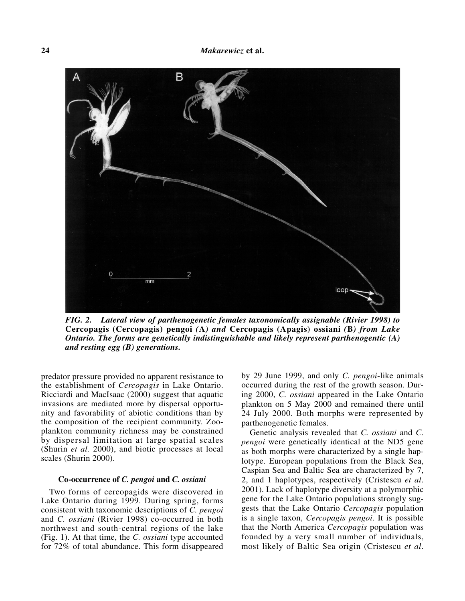

*FIG. 2. Lateral view of parthenogenetic females taxonomically assignable (Rivier 1998) to* **Cercopagis (Cercopagis) pengoi** *(***A***) and* **Cercopagis (Apagis) ossiani** *(***B***) from Lake Ontario. The forms are genetically indistinguishable and likely represent parthenogentic (A) and resting egg (B) generations.*

predator pressure provided no apparent resistance to the establishment of *Cercopagis* in Lake Ontario. Ricciardi and MacIsaac (2000) suggest that aquatic invasions are mediated more by dispersal opportunity and favorability of abiotic conditions than by the composition of the recipient community. Zooplankton community richness may be constrained by dispersal limitation at large spatial scales (Shurin *et al.* 2000), and biotic processes at local scales (Shurin 2000).

# **Co-occurrence of** *C. pengoi* **and** *C. ossiani*

Two forms of cercopagids were discovered in Lake Ontario during 1999. During spring, forms consistent with taxonomic descriptions of *C. pengoi* and *C. ossiani* (Rivier 1998) co-occurred in both northwest and south-central regions of the lake (Fig. 1). At that time, the *C. ossiani* type accounted for 72% of total abundance. This form disappeared

by 29 June 1999, and only *C. pengoi*-like animals occurred during the rest of the growth season. During 2000, *C. ossiani* appeared in the Lake Ontario plankton on 5 May 2000 and remained there until 24 July 2000. Both morphs were represented by parthenogenetic females.

Genetic analysis revealed that *C. ossiani* and *C. pengoi* were genetically identical at the ND5 gene as both morphs were characterized by a single haplotype. European populations from the Black Sea, Caspian Sea and Baltic Sea are characterized by 7, 2, and 1 haplotypes, respectively (Cristescu *et al*. 2001). Lack of haplotype diversity at a polymorphic gene for the Lake Ontario populations strongly suggests that the Lake Ontario *Cercopagis* population is a single taxon, *Cercopagis pengoi*. It is possible that the North America *Cercopagis* population was founded by a very small number of individuals, most likely of Baltic Sea origin (Cristescu *et al*.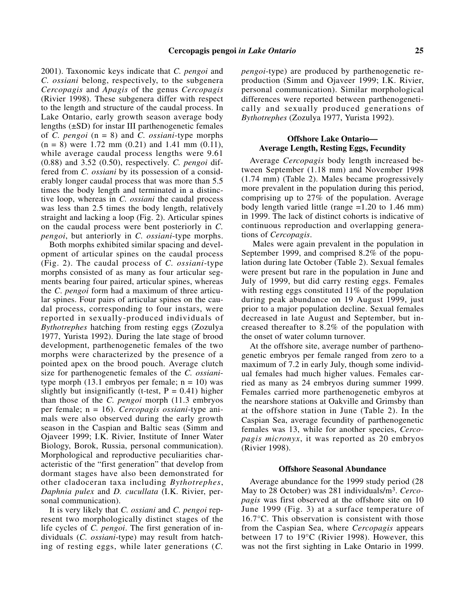2001). Taxonomic keys indicate that *C. pengoi* and *C. ossiani* belong, respectively, to the subgenera *Cercopagis* and *Apagis* of the genus *Cercopagis* (Rivier 1998). These subgenera differ with respect to the length and structure of the caudal process. In Lake Ontario, early growth season average body lengths  $(\pm SD)$  for instar III parthenogenetic females of *C. pengoi* (n = 8) and *C. ossiani*-type morphs  $(n = 8)$  were 1.72 mm  $(0.21)$  and 1.41 mm  $(0.11)$ , while average caudal process lengths were 9.61 (0.88) and 3.52 (0.50), respectively. *C. pengoi* differed from *C. ossiani* by its possession of a considerably longer caudal process that was more than 5.5 times the body length and terminated in a distinctive loop, whereas in *C. ossiani* the caudal process was less than 2.5 times the body length, relatively straight and lacking a loop (Fig. 2). Articular spines on the caudal process were bent posteriorly in *C. pengoi*, but anteriorly in *C. ossiani*-type morphs.

Both morphs exhibited similar spacing and development of articular spines on the caudal process (Fig. 2). The caudal process of *C. ossiani*-type morphs consisted of as many as four articular segments bearing four paired, articular spines, whereas the *C*. *pengoi* form had a maximum of three articular spines. Four pairs of articular spines on the caudal process, corresponding to four instars, were reported in sexually-produced individuals of *Bythotrephes* hatching from resting eggs (Zozulya 1977, Yurista 1992). During the late stage of brood development, parthenogenetic females of the two morphs were characterized by the presence of a pointed apex on the brood pouch. Average clutch size for parthenogenetic females of the *C. ossiani*type morph (13.1 embryos per female;  $n = 10$ ) was slightly but insignificantly (t-test,  $P = 0.41$ ) higher than those of the *C. pengoi* morph (11.3 embryos per female; n = 16). *Cercopagis ossiani*-type animals were also observed during the early growth season in the Caspian and Baltic seas (Simm and Ojaveer 1999; I.K. Rivier, Institute of Inner Water Biology, Borok, Russia, personal communication). Morphological and reproductive peculiarities characteristic of the "first generation" that develop from dormant stages have also been demonstrated for other cladoceran taxa including *Bythotrephes*, *Daphnia pulex* and *D. cucullata* (I.K. Rivier, personal communication).

It is very likely that *C. ossiani* and *C. pengoi* represent two morphologically distinct stages of the life cycles of *C. pengoi*. The first generation of individuals (*C. ossiani*-type) may result from hatching of resting eggs, while later generations (*C.*

*pengoi*-type) are produced by parthenogenetic reproduction (Simm and Ojaveer 1999; I.K. Rivier, personal communication). Similar morphological differences were reported between parthenogenetically and sexually produced generations of *Bythotrephes* (Zozulya 1977, Yurista 1992).

# **Offshore Lake Ontario— Average Length, Resting Eggs, Fecundity**

Average *Cercopagis* body length increased between September (1.18 mm) and November 1998 (1.74 mm) (Table 2). Males became progressively more prevalent in the population during this period, comprising up to 27% of the population. Average body length varied little (range =1.20 to 1.46 mm) in 1999. The lack of distinct cohorts is indicative of continuous reproduction and overlapping generations of *Cercopagis*.

Males were again prevalent in the population in September 1999, and comprised 8.2% of the population during late October (Table 2). Sexual females were present but rare in the population in June and July of 1999, but did carry resting eggs. Females with resting eggs constituted 11% of the population during peak abundance on 19 August 1999, just prior to a major population decline. Sexual females decreased in late August and September, but increased thereafter to 8.2% of the population with the onset of water column turnover.

At the offshore site, average number of parthenogenetic embryos per female ranged from zero to a maximum of 7.2 in early July, though some individual females had much higher values. Females carried as many as 24 embryos during summer 1999. Females carried more parthenogenetic embyros at the nearshore stations at Oakville and Grimsby than at the offshore station in June (Table 2). In the Caspian Sea, average fecundity of parthenogenetic females was 13, while for another species, *Cercopagis micronyx*, it was reported as 20 embryos (Rivier 1998).

# **Offshore Seasonal Abundance**

Average abundance for the 1999 study period (28 May to 28 October) was 281 individuals/m3. *Cercopagis* was first observed at the offshore site on 10 June 1999 (Fig. 3) at a surface temperature of 16.7°C. This observation is consistent with those from the Caspian Sea, where *Cercopagis* appears between 17 to 19°C (Rivier 1998). However, this was not the first sighting in Lake Ontario in 1999.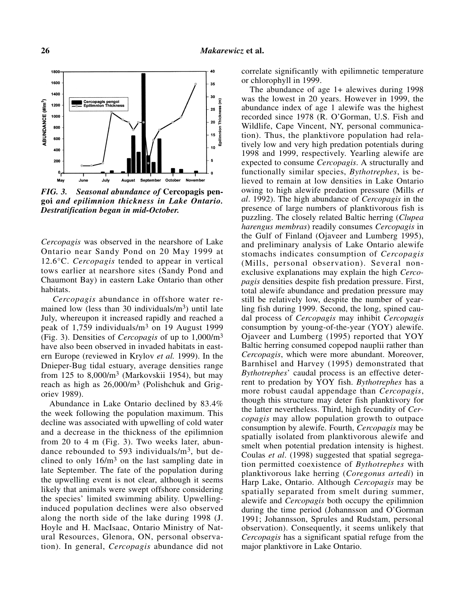

*FIG. 3. Seasonal abundance of* **Cercopagis pengoi** *and epilimnion thickness in Lake Ontario. Destratification began in mid-October.*

*Cercopagis* was observed in the nearshore of Lake Ontario near Sandy Pond on 20 May 1999 at 12.6°C. *Cercopagis* tended to appear in vertical tows earlier at nearshore sites (Sandy Pond and Chaumont Bay) in eastern Lake Ontario than other habitats.

*Cercopagis* abundance in offshore water remained low (less than 30 individuals/m<sup>3</sup>) until late July, whereupon it increased rapidly and reached a peak of 1,759 individuals/m3 on 19 August 1999 (Fig. 3). Densities of *Cercopagis* of up to 1,000/m3 have also been observed in invaded habitats in eastern Europe (reviewed in Krylov *et al.* 1999). In the Dnieper-Bug tidal estuary, average densities range from  $125$  to  $8,000/m^3$  (Markovskii 1954), but may reach as high as 26,000/m3 (Polishchuk and Grigoriev 1989).

Abundance in Lake Ontario declined by 83.4% the week following the population maximum. This decline was associated with upwelling of cold water and a decrease in the thickness of the epilimnion from 20 to 4 m (Fig. 3). Two weeks later, abundance rebounded to 593 individuals/m3, but declined to only  $16/m<sup>3</sup>$  on the last sampling date in late September. The fate of the population during the upwelling event is not clear, although it seems likely that animals were swept offshore considering the species' limited swimming ability. Upwellinginduced population declines were also observed along the north side of the lake during 1998 (J. Hoyle and H. MacIsaac, Ontario Ministry of Natural Resources, Glenora, ON, personal observation). In general, *Cercopagis* abundance did not correlate significantly with epilimnetic temperature or chlorophyll in 1999.

The abundance of age 1+ alewives during 1998 was the lowest in 20 years. However in 1999, the abundance index of age 1 alewife was the highest recorded since 1978 (R. O'Gorman, U.S. Fish and Wildlife, Cape Vincent, NY, personal communication). Thus, the planktivore population had relatively low and very high predation potentials during 1998 and 1999, respectively. Yearling alewife are expected to consume *Cercopagis*. A structurally and functionally similar species, *Bythotrephes*, is believed to remain at low densities in Lake Ontario owing to high alewife predation pressure (Mills *et al*. 1992). The high abundance of *Cercopagis* in the presence of large numbers of planktivorous fish is puzzling. The closely related Baltic herring (*Clupea harengus membras*) readily consumes *Cercopagis* in the Gulf of Finland (Ojaveer and Lumberg 1995), and preliminary analysis of Lake Ontario alewife stomachs indicates consumption of *Cercopagis* (Mills, personal observation). Several nonexclusive explanations may explain the high *Cercopagis* densities despite fish predation pressure. First, total alewife abundance and predation pressure may still be relatively low, despite the number of yearling fish during 1999. Second, the long, spined caudal process of *Cercopagis* may inhibit *Cercopagis* consumption by young-of-the-year (YOY) alewife. Ojaveer and Lumberg (1995) reported that YOY Baltic herring consumed copepod nauplii rather than *Cercopagis*, which were more abundant. Moreover, Barnhisel and Harvey (1995) demonstrated that *Bythotrephes*' caudal process is an effective deterrent to predation by YOY fish. *Bythotrephes* has a more robust caudal appendage than *Cercopagis*, though this structure may deter fish planktivory for the latter nevertheless. Third, high fecundity of *Cercopagis* may allow population growth to outpace consumption by alewife. Fourth, *Cercopagis* may be spatially isolated from planktivorous alewife and smelt when potential predation intensity is highest. Coulas *et al*. (1998) suggested that spatial segregation permitted coexistence of *Bythotrephes* with planktivorous lake herring (*Coregonus artedi*) in Harp Lake, Ontario. Although *Cercopagis* may be spatially separated from smelt during summer, alewife and *Cercopagis* both occupy the epilimnion during the time period (Johannsson and O'Gorman 1991; Johannsson, Sprules and Rudstam, personal observation). Consequently, it seems unlikely that *Cercopagis* has a significant spatial refuge from the major planktivore in Lake Ontario.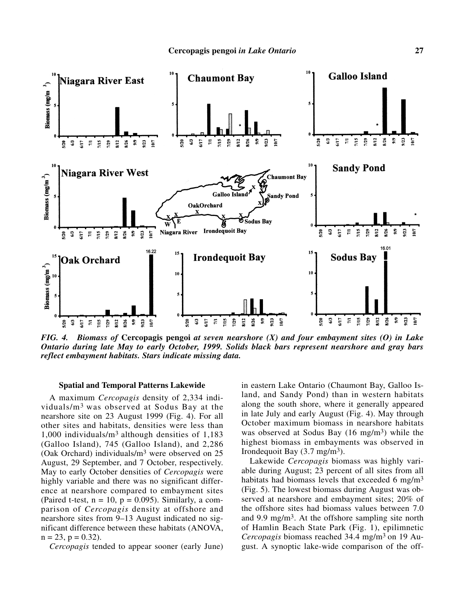

*FIG. 4. Biomass of* **Cercopagis pengoi** *at seven nearshore (X) and four embayment sites (O) in Lake Ontario during late May to early October, 1999. Solids black bars represent nearshore and gray bars reflect embayment habitats. Stars indicate missing data.*

#### **Spatial and Temporal Patterns Lakewide**

A maximum *Cercopagis* density of 2,334 individuals/m3 was observed at Sodus Bay at the nearshore site on 23 August 1999 (Fig. 4). For all other sites and habitats, densities were less than 1,000 individuals/m3 although densities of 1,183 (Galloo Island), 745 (Galloo Island), and 2,286 (Oak Orchard) individuals/ $m<sup>3</sup>$  were observed on 25 August, 29 September, and 7 October, respectively. May to early October densities of *Cercopagis* were highly variable and there was no significant difference at nearshore compared to embayment sites (Paired t-test,  $n = 10$ ,  $p = 0.095$ ). Similarly, a comparison of *Cercopagis* density at offshore and nearshore sites from 9–13 August indicated no significant difference between these habitats (ANOVA,  $n = 23$ ,  $p = 0.32$ ).

*Cercopagis* tended to appear sooner (early June)

in eastern Lake Ontario (Chaumont Bay, Galloo Island, and Sandy Pond) than in western habitats along the south shore, where it generally appeared in late July and early August (Fig. 4). May through October maximum biomass in nearshore habitats was observed at Sodus Bay (16 mg/m<sup>3</sup>) while the highest biomass in embayments was observed in Irondequoit Bay  $(3.7 \text{ mg/m}^3)$ .

Lakewide *Cercopagis* biomass was highly variable during August; 23 percent of all sites from all habitats had biomass levels that exceeded 6 mg/m<sup>3</sup> (Fig. 5). The lowest biomass during August was observed at nearshore and embayment sites; 20% of the offshore sites had biomass values between 7.0 and 9.9 mg/m3. At the offshore sampling site north of Hamlin Beach State Park (Fig. 1), epilimnetic *Cercopagis* biomass reached 34.4 mg/m3 on 19 August. A synoptic lake-wide comparison of the off-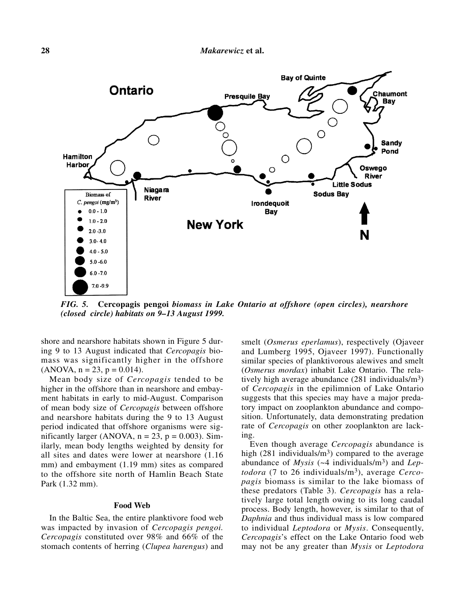

*FIG. 5.* **Cercopagis pengoi** *biomass in Lake Ontario at offshore (open circles), nearshore (closed circle) habitats on 9–13 August 1999.*

shore and nearshore habitats shown in Figure 5 during 9 to 13 August indicated that *Cercopagis* biomass was significantly higher in the offshore  $(ANOVA, n = 23, p = 0.014).$ 

Mean body size of *Cercopagis* tended to be higher in the offshore than in nearshore and embayment habitats in early to mid-August. Comparison of mean body size of *Cercopagis* between offshore and nearshore habitats during the 9 to 13 August period indicated that offshore organisms were significantly larger (ANOVA,  $n = 23$ ,  $p = 0.003$ ). Similarly, mean body lengths weighted by density for all sites and dates were lower at nearshore (1.16 mm) and embayment (1.19 mm) sites as compared to the offshore site north of Hamlin Beach State Park (1.32 mm).

# **Food Web**

In the Baltic Sea, the entire planktivore food web was impacted by invasion of *Cercopagis pengoi. Cercopagis* constituted over 98% and 66% of the stomach contents of herring (*Clupea harengus*) and

smelt (*Osmerus eperlamus*), respectively (Ojaveer and Lumberg 1995, Ojaveer 1997). Functionally similar species of planktivorous alewives and smelt (*Osmerus mordax*) inhabit Lake Ontario. The relatively high average abundance  $(281 \text{ individuals/m}^3)$ of *Cercopagis* in the epilimnion of Lake Ontario suggests that this species may have a major predatory impact on zooplankton abundance and composition. Unfortunately, data demonstrating predation rate of *Cercopagis* on other zooplankton are lacking.

Even though average *Cercopagis* abundance is high  $(281 \text{ individuals/m}^3)$  compared to the average abundance of *Mysis* (~4 individuals/m3) and *Leptodora* (7 to 26 individuals/m3), average *Cercopagis* biomass is similar to the lake biomass of these predators (Table 3). *Cercopagis* has a relatively large total length owing to its long caudal process. Body length, however, is similar to that of *Daphnia* and thus individual mass is low compared to individual *Leptodora* or *Mysis*. Consequently, *Cercopagis*'s effect on the Lake Ontario food web may not be any greater than *Mysis* or *Leptodora*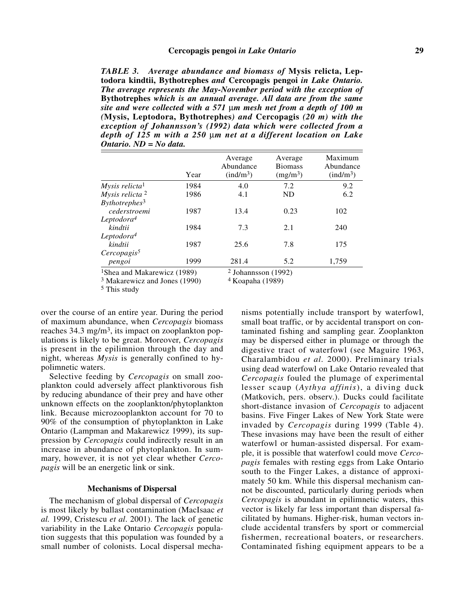*TABLE 3. Average abundance and biomass of* **Mysis relicta, Leptodora kindtii, Bythotrephes** *and* **Cercopagis pengoi** *in Lake Ontario. The average represents the May-November period with the exception of* **Bythotrephes** *which is an annual average. All data are from the same site and were collected with a 571* µ*m mesh net from a depth of 100 m (***Mysis, Leptodora, Bythotrephes***) and* **Cercopagis** *(20 m) with the exception of Johannsson's (1992) data which were collected from a depth of 125 m with a 250* µ*m net at a different location on Lake Ontario. ND = No data.*

|                                         | Year | Average<br>Abundance<br>(ind/m <sup>3</sup> ) | Average<br><b>Biomass</b><br>(mg/m <sup>3</sup> ) | Maximum<br>Abundance<br>(ind/m <sup>3</sup> ) |
|-----------------------------------------|------|-----------------------------------------------|---------------------------------------------------|-----------------------------------------------|
| $M$ ysis relicta <sup>1</sup>           | 1984 | 4.0                                           | 7.2                                               | 9.2                                           |
| Mysis relicta $2$                       | 1986 | 4.1                                           | <b>ND</b>                                         | 6.2                                           |
| Bythotrephes <sup>3</sup>               |      |                                               |                                                   |                                               |
| cederstroemi                            | 1987 | 13.4                                          | 0.23                                              | 102                                           |
| Leptodora <sup>4</sup>                  |      |                                               |                                                   |                                               |
| kindtii                                 | 1984 | 7.3                                           | 2.1                                               | 240                                           |
| Leptodora <sup>4</sup>                  |      |                                               |                                                   |                                               |
| kindtii                                 | 1987 | 25.6                                          | 7.8                                               | 175                                           |
| Cercopagis <sup>5</sup>                 |      |                                               |                                                   |                                               |
| pengoi                                  | 1999 | 281.4                                         | 5.2                                               | 1,759                                         |
| <sup>1</sup> Shea and Makarewicz (1989) |      | $2$ Johannsson (1992)                         |                                                   |                                               |

 $3$  Makarewicz and Jones (1990)  $4$  Koapaha (1989)

5 This study

over the course of an entire year. During the period of maximum abundance, when *Cercopagis* biomass reaches 34.3 mg/m3, its impact on zooplankton populations is likely to be great. Moreover, *Cercopagis* is present in the epilimnion through the day and night, whereas *Mysis* is generally confined to hypolimnetic waters.

Selective feeding by *Cercopagis* on small zooplankton could adversely affect planktivorous fish by reducing abundance of their prey and have other unknown effects on the zooplankton/phytoplankton link. Because microzooplankton account for 70 to 90% of the consumption of phytoplankton in Lake Ontario (Lampman and Makarewicz 1999), its suppression by *Cercopagis* could indirectly result in an increase in abundance of phytoplankton. In summary, however, it is not yet clear whether *Cercopagis* will be an energetic link or sink.

# **Mechanisms of Dispersal**

The mechanism of global dispersal of *Cercopagis* is most likely by ballast contamination (MacIsaac *et al.* 1999, Cristescu *et al*. 2001). The lack of genetic variability in the Lake Ontario *Cercopagis* population suggests that this population was founded by a small number of colonists. Local dispersal mecha-

nisms potentially include transport by waterfowl, small boat traffic, or by accidental transport on contaminated fishing and sampling gear. Zooplankton may be dispersed either in plumage or through the digestive tract of waterfowl (see Maguire 1963, Charalambidou *et al.* 2000). Preliminary trials using dead waterfowl on Lake Ontario revealed that *Cercopagis* fouled the plumage of experimental lesser scaup (*Aythya affinis*), a diving duck (Matkovich, pers. observ.). Ducks could facilitate short-distance invasion of *Cercopagis* to adjacent basins. Five Finger Lakes of New York State were invaded by *Cercopagis* during 1999 (Table 4). These invasions may have been the result of either waterfowl or human-assisted dispersal. For example, it is possible that waterfowl could move *Cercopagis* females with resting eggs from Lake Ontario south to the Finger Lakes, a distance of approximately 50 km. While this dispersal mechanism cannot be discounted, particularly during periods when *Cercopagis* is abundant in epilimnetic waters, this vector is likely far less important than dispersal facilitated by humans. Higher-risk, human vectors include accidental transfers by sport or commercial fishermen, recreational boaters, or researchers. Contaminated fishing equipment appears to be a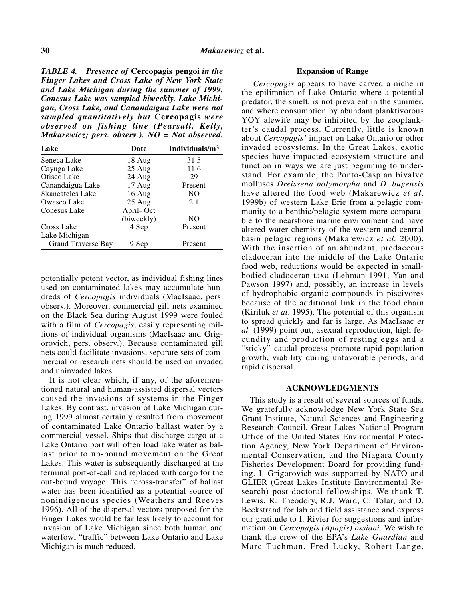*TABLE 4. Presence of* **Cercopagis pengoi** *in the Finger Lakes and Cross Lake of New York State and Lake Michigan during the summer of 1999. Conesus Lake was sampled biweekly. Lake Michigan, Cross Lake, and Canandaigua Lake were not sampled quantitatively but* **Cercopagis** *were observed on fishing line (Pearsall, Kelly, Makarewicz; pers. observ.). NO = Not observed.*

| Lake                      | Date             | Individuals/m <sup>3</sup> |  |
|---------------------------|------------------|----------------------------|--|
| Seneca Lake               | 18 Aug           | 31.5                       |  |
| Cayuga Lake               | 25 Aug           | 11.6                       |  |
| Otisco Lake               | 24 Aug           | 29                         |  |
| Canandaigua Lake          | 17 Aug           | Present                    |  |
| <b>Skaneateles Lake</b>   | 16 Aug           | NO.                        |  |
| Owasco Lake               | $25 \text{ Aug}$ | 2.1                        |  |
| Conesus Lake              | April-Oct        |                            |  |
|                           | (biweekly)       | NO.                        |  |
| Cross Lake                | 4 Sep            | Present                    |  |
| Lake Michigan             |                  |                            |  |
| <b>Grand Traverse Bay</b> | 9 Sep            | Present                    |  |

potentially potent vector, as individual fishing lines used on contaminated lakes may accumulate hundreds of *Cercopagis* individuals (MacIsaac, pers. observ.). Moreover, commercial gill nets examined on the Black Sea during August 1999 were fouled with a film of *Cercopagis*, easily representing millions of individual organisms (MacIsaac and Grigorovich, pers. observ.). Because contaminated gill nets could facilitate invasions, separate sets of commercial or research nets should be used on invaded and uninvaded lakes.

It is not clear which, if any, of the aforementioned natural and human-assisted dispersal vectors caused the invasions of systems in the Finger Lakes. By contrast, invasion of Lake Michigan during 1999 almost certainly resulted from movement of contaminated Lake Ontario ballast water by a commercial vessel. Ships that discharge cargo at a Lake Ontario port will often load lake water as ballast prior to up-bound movement on the Great Lakes. This water is subsequently discharged at the terminal port-of-call and replaced with cargo for the out-bound voyage. This "cross-transfer" of ballast water has been identified as a potential source of nonindigenous species (Weathers and Reeves 1996). All of the dispersal vectors proposed for the Finger Lakes would be far less likely to account for invasion of Lake Michigan since both human and waterfowl "traffic" between Lake Ontario and Lake Michigan is much reduced.

#### **Expansion of Range**

*Cercopagis* appears to have carved a niche in the epilimnion of Lake Ontario where a potential predator, the smelt, is not prevalent in the summer, and where consumption by abundant planktivorous YOY alewife may be inhibited by the zooplankter's caudal process. Currently, little is known about *Cercopagis'* impact on Lake Ontario or other invaded ecosystems. In the Great Lakes, exotic species have impacted ecosystem structure and function in ways we are just beginning to understand. For example, the Ponto-Caspian bivalve molluscs *Dreissena polymorpha* and *D. bugensis* have altered the food web (Makarewicz *et al.* 1999b) of western Lake Erie from a pelagic community to a benthic/pelagic system more comparable to the nearshore marine environment and have altered water chemistry of the western and central basin pelagic regions (Makarewicz *et al.* 2000). With the insertion of an abundant, predaceous cladoceran into the middle of the Lake Ontario food web, reductions would be expected in smallbodied cladoceran taxa (Lehman 1991, Yan and Pawson 1997) and, possibly, an increase in levels of hydrophobic organic compounds in piscivores because of the additional link in the food chain (Kiriluk *et al*. 1995). The potential of this organism to spread quickly and far is large. As MacIsaac *et al.* (1999) point out, asexual reproduction, high fecundity and production of resting eggs and a "sticky" caudal process promote rapid population growth, viability during unfavorable periods, and rapid dispersal.

#### **ACKNOWLEDGMENTS**

This study is a result of several sources of funds. We gratefully acknowledge New York State Sea Grant Institute, Natural Sciences and Engineering Research Council, Great Lakes National Program Office of the United States Environmental Protection Agency, New York Department of Environmental Conservation, and the Niagara County Fisheries Development Board for providing funding. I. Grigorovich was supported by NATO and GLIER (Great Lakes Institute Environmental Research) post-doctoral fellowships. We thank T. Lewis, R. Theodory, R.J. Ward, C. Tolar, and D. Beckstrand for lab and field assistance and express our gratitude to I. Rivier for suggestions and information on *Cercopagis (Apagis) ossiani*. We wish to thank the crew of the EPA's *Lake Guardian* and Marc Tuchman, Fred Lucky, Robert Lange,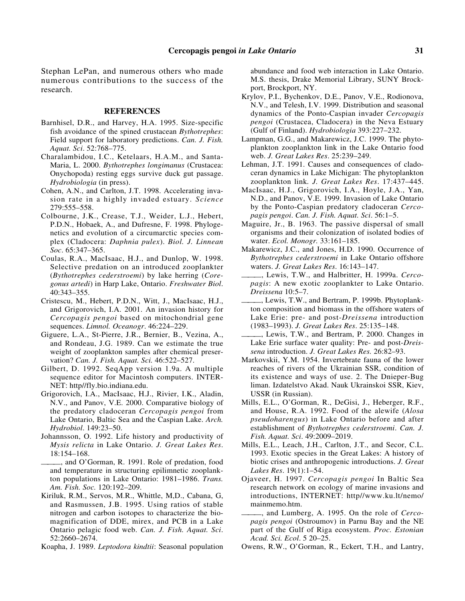Stephan LePan, and numerous others who made numerous contributions to the success of the research.

#### **REFERENCES**

- Barnhisel, D.R., and Harvey, H.A. 1995. Size-specific fish avoidance of the spined crustacean *Bythotrephes*: Field support for laboratory predictions. *Can. J. Fish. Aquat. Sci*. 52:768–775.
- Charalambidou, I.C., Ketelaars, H.A.M., and Santa-Maria, L. 2000. *Bythotrephes longimanus* (Crustacea: Onychopoda) resting eggs survive duck gut passage. *Hydrobiologia* (in press).
- Cohen, A.N., and Carlton, J.T. 1998. Accelerating invasion rate in a highly invaded estuary. *Science* 279:555–558.
- Colbourne, J.K., Crease, T.J., Weider, L.J., Hebert, P.D.N., Hobaek, A., and Dufresne, F. 1998. Phylogenetics and evolution of a circumarctic species complex (Cladocera: *Daphnia pulex*). *Biol. J. Linnean Soc*. 65:347–365.
- Coulas, R.A., MacIsaac, H.J., and Dunlop, W. 1998. Selective predation on an introduced zooplankter (*Bythotrephes cederstroemi*) by lake herring (*Coregonus artedi*) in Harp Lake, Ontario. *Freshwater Biol*. 40:343–355.
- Cristescu, M., Hebert, P.D.N., Witt, J., MacIsaac, H.J., and Grigorovich, I.A. 2001. An invasion history for *Cercopagis pengoi* based on mitochondrial gene sequences. *Limnol. Oceanogr*. 46:224–229.
- Giguere, L.A., St-Pierre, J.R., Bernier, B., Vezina, A., and Rondeau, J.G. 1989. Can we estimate the true weight of zooplankton samples after chemical preservation? *Can. J. Fish. Aquat. Sci.* 46:522–527.
- Gilbert, D. 1992. SeqApp version 1.9a. A multiple sequence editor for Macintosh computers. INTER-NET: http//fly.bio.indiana.edu.
- Grigorovich, I.A., MacIsaac, H.J., Rivier, I.K., Aladin, N.V., and Panov, V.E. 2000. Comparative biology of the predatory cladoceran *Cercopagis pengoi* from Lake Ontario, Baltic Sea and the Caspian Lake. *Arch. Hydrobiol*. 149:23–50.
- Johannsson, O. 1992. Life history and productivity of *Mysis relicta* in Lake Ontario. *J. Great Lakes Res*. 18:154–168.
- ———, and O'Gorman, R. 1991. Role of predation, food and temperature in structuring epilimnetic zooplankton populations in Lake Ontario: 1981–1986. *Trans. Am. Fish. Soc.* 120:192–209.
- Kiriluk, R.M., Servos, M.R., Whittle, M,D., Cabana, G, and Rasmussen, J.B. 1995. Using ratios of stable nitrogen and carbon isotopes to characterize the biomagnification of DDE, mirex, and PCB in a Lake Ontario pelagic food web. *Can. J. Fish. Aquat. Sci*. 52:2660–2674.
- Koapha, J. 1989. *Leptodora kindtii*: Seasonal population

abundance and food web interaction in Lake Ontario. M.S. thesis, Drake Memorial Library, SUNY Brockport, Brockport, NY.

- Krylov, P.I., Bychenkov, D.E., Panov, V.E., Rodionova, N.V., and Telesh, I.V. 1999. Distribution and seasonal dynamics of the Ponto-Caspian invader *Cercopagis pengoi* (Crustacea, Cladocera) in the Neva Estuary (Gulf of Finland). *Hydrobiologia* 393:227–232.
- Lampman, G.G., and Makarewicz, J.C. 1999. The phytoplankton zooplankton link in the Lake Ontario food web. *J. Great Lakes Res*. 25:239–249.
- Lehman, J.T. 1991. Causes and consequences of cladoceran dynamics in Lake Michigan: The phytoplankton zooplankton link*. J. Great Lakes Res*. 17:437–445.
- MacIsaac, H.J., Grigorovich, I.A., Hoyle, J.A., Yan, N.D., and Panov, V.E. 1999. Invasion of Lake Ontario by the Ponto-Caspian predatory cladoceran *Cercopagis pengoi*. *Can. J. Fish. Aquat. Sci*. 56:1–5.
- Maguire, Jr., B. 1963. The passive dispersal of small organisms and their colonization of isolated bodies of water. *Ecol. Monogr.* 33:161–185.
- Makarewicz, J.C., and Jones, H.D. 1990. Occurrence of *Bythotrephes cederstroemi* in Lake Ontario offshore waters. *J. Great Lakes Res*. 16:143–147.
- ———, Lewis, T.W., and Halbritter, H. 1999a. *Cercopagis*: A new exotic zooplankter to Lake Ontario. *Dreissena* 10:5–7.
- ———, Lewis, T.W., and Bertram, P. 1999b. Phytoplankton composition and biomass in the offshore waters of Lake Erie: pre- and post-*Dreissena* introduction (1983–1993). *J. Great Lakes Res*. 25:135–148.
- ———, Lewis, T.W., and Bertram, P. 2000. Changes in Lake Erie surface water quality: Pre- and post-*Dreissena* introduction. *J. Great Lakes Res.* 26:82–93.
- Markovskii, Y.M. 1954. Invertebrate fauna of the lower reaches of rivers of the Ukrainian SSR, condition of its existence and ways of use. 2. The Dnieper-Bug liman. Izdatelstvo Akad. Nauk Ukrainskoi SSR, Kiev, USSR (in Russian).
- Mills, E.L., O'Gorman, R., DeGisi, J., Heberger, R.F., and House, R.A. 1992. Food of the alewife (*Alosa pseudoharengus*) in Lake Ontario before and after establishment of *Bythotrephes cederstroemi*. *Can. J. Fish. Aquat. Sci*. 49:2009–2019.
- Mills, E.L., Leach, J.H., Carlton, J.T., and Secor, C.L. 1993. Exotic species in the Great Lakes: A history of biotic crises and anthropogenic introductions. *J. Great Lakes Res*. 19(1):1–54.
- Ojaveer, H. 1997. *Cercopagis pengoi* In Baltic Sea research network on ecology of marine invasions and introductions, INTERNET: http//www.ku.lt/nemo/ mainmemo.htm.
- $\Box$ , and Lumberg, A. 1995. On the role of *Cercopagis pengoi* (Ostroumov) in Parnu Bay and the NE part of the Gulf of Riga ecosystem. *Proc. Estonian Acad. Sci. Ecol*. 5 20–25.
- Owens, R.W., O'Gorman, R., Eckert, T.H., and Lantry,